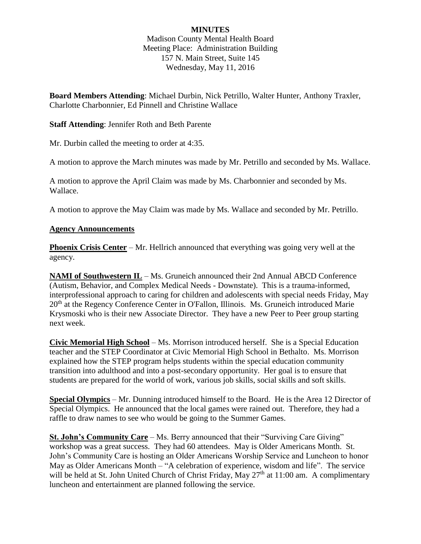# **MINUTES**

Madison County Mental Health Board Meeting Place: Administration Building 157 N. Main Street, Suite 145 Wednesday, May 11, 2016

**Board Members Attending**: Michael Durbin, Nick Petrillo, Walter Hunter, Anthony Traxler, Charlotte Charbonnier, Ed Pinnell and Christine Wallace

#### **Staff Attending**: Jennifer Roth and Beth Parente

Mr. Durbin called the meeting to order at 4:35.

A motion to approve the March minutes was made by Mr. Petrillo and seconded by Ms. Wallace.

A motion to approve the April Claim was made by Ms. Charbonnier and seconded by Ms. Wallace.

A motion to approve the May Claim was made by Ms. Wallace and seconded by Mr. Petrillo.

### **Agency Announcements**

**Phoenix Crisis Center** – Mr. Hellrich announced that everything was going very well at the agency.

**NAMI of Southwestern IL** – Ms. Gruneich announced their 2nd Annual ABCD Conference (Autism, Behavior, and Complex Medical Needs - Downstate). This is a trauma-informed, interprofessional approach to caring for children and adolescents with special needs Friday, May 20<sup>th</sup> at the Regency Conference Center in O'Fallon, Illinois. Ms. Gruneich introduced Marie Krysmoski who is their new Associate Director. They have a new Peer to Peer group starting next week.

**Civic Memorial High School** – Ms. Morrison introduced herself. She is a Special Education teacher and the STEP Coordinator at Civic Memorial High School in Bethalto. Ms. Morrison explained how the STEP program helps students within the special education community transition into adulthood and into a post-secondary opportunity. Her goal is to ensure that students are prepared for the world of work, various job skills, social skills and soft skills.

**Special Olympics** – Mr. Dunning introduced himself to the Board. He is the Area 12 Director of Special Olympics. He announced that the local games were rained out. Therefore, they had a raffle to draw names to see who would be going to the Summer Games.

**St. John's Community Care** – Ms. Berry announced that their "Surviving Care Giving" workshop was a great success. They had 60 attendees. May is Older Americans Month. St. John's Community Care is hosting an Older Americans Worship Service and Luncheon to honor May as Older Americans Month – "A celebration of experience, wisdom and life". The service will be held at St. John United Church of Christ Friday, May  $27<sup>th</sup>$  at 11:00 am. A complimentary luncheon and entertainment are planned following the service.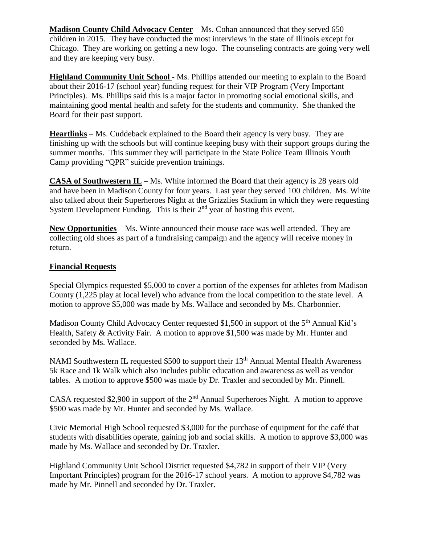**Madison County Child Advocacy Center** – Ms. Cohan announced that they served 650 children in 2015. They have conducted the most interviews in the state of Illinois except for Chicago. They are working on getting a new logo. The counseling contracts are going very well and they are keeping very busy.

**Highland Community Unit School** - Ms. Phillips attended our meeting to explain to the Board about their 2016-17 (school year) funding request for their VIP Program (Very Important Principles). Ms. Phillips said this is a major factor in promoting social emotional skills, and maintaining good mental health and safety for the students and community. She thanked the Board for their past support.

**Heartlinks** – Ms. Cuddeback explained to the Board their agency is very busy. They are finishing up with the schools but will continue keeping busy with their support groups during the summer months. This summer they will participate in the State Police Team Illinois Youth Camp providing "QPR" suicide prevention trainings.

**CASA of Southwestern IL** – Ms. White informed the Board that their agency is 28 years old and have been in Madison County for four years. Last year they served 100 children. Ms. White also talked about their Superheroes Night at the Grizzlies Stadium in which they were requesting System Development Funding. This is their  $2<sup>nd</sup>$  year of hosting this event.

**New Opportunities** – Ms. Winte announced their mouse race was well attended. They are collecting old shoes as part of a fundraising campaign and the agency will receive money in return.

### **Financial Requests**

Special Olympics requested \$5,000 to cover a portion of the expenses for athletes from Madison County (1,225 play at local level) who advance from the local competition to the state level. A motion to approve \$5,000 was made by Ms. Wallace and seconded by Ms. Charbonnier.

Madison County Child Advocacy Center requested \$1,500 in support of the 5<sup>th</sup> Annual Kid's Health, Safety & Activity Fair. A motion to approve \$1,500 was made by Mr. Hunter and seconded by Ms. Wallace.

NAMI Southwestern IL requested \$500 to support their 13<sup>th</sup> Annual Mental Health Awareness 5k Race and 1k Walk which also includes public education and awareness as well as vendor tables. A motion to approve \$500 was made by Dr. Traxler and seconded by Mr. Pinnell.

CASA requested \$2,900 in support of the 2<sup>nd</sup> Annual Superheroes Night. A motion to approve \$500 was made by Mr. Hunter and seconded by Ms. Wallace.

Civic Memorial High School requested \$3,000 for the purchase of equipment for the café that students with disabilities operate, gaining job and social skills. A motion to approve \$3,000 was made by Ms. Wallace and seconded by Dr. Traxler.

Highland Community Unit School District requested \$4,782 in support of their VIP (Very Important Principles) program for the 2016-17 school years. A motion to approve \$4,782 was made by Mr. Pinnell and seconded by Dr. Traxler.